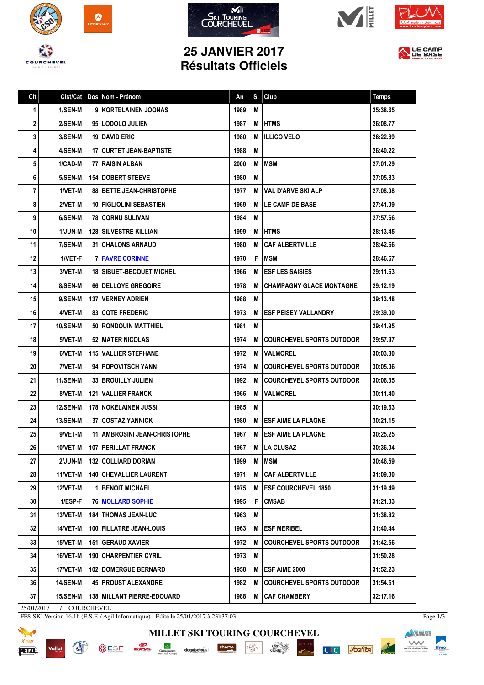









## **25 JANVIER 2017 Résultats Officiels**



| Clst/Cat        |          | An                                                                                                                                                                                                                                                                                                                                                                                                                                                                                                                                                                                                                                                                                                                                                                                                                                                                                                                                                                                                                                                                                            | S. | Club                             | <b>Temps</b>                                                                                                                                                                                                                                                                                                                                                                                                     |
|-----------------|----------|-----------------------------------------------------------------------------------------------------------------------------------------------------------------------------------------------------------------------------------------------------------------------------------------------------------------------------------------------------------------------------------------------------------------------------------------------------------------------------------------------------------------------------------------------------------------------------------------------------------------------------------------------------------------------------------------------------------------------------------------------------------------------------------------------------------------------------------------------------------------------------------------------------------------------------------------------------------------------------------------------------------------------------------------------------------------------------------------------|----|----------------------------------|------------------------------------------------------------------------------------------------------------------------------------------------------------------------------------------------------------------------------------------------------------------------------------------------------------------------------------------------------------------------------------------------------------------|
| 1/SEN-M         |          | 1989                                                                                                                                                                                                                                                                                                                                                                                                                                                                                                                                                                                                                                                                                                                                                                                                                                                                                                                                                                                                                                                                                          | M  |                                  | 25:38.65                                                                                                                                                                                                                                                                                                                                                                                                         |
| 2/SEN-M         |          | 1987                                                                                                                                                                                                                                                                                                                                                                                                                                                                                                                                                                                                                                                                                                                                                                                                                                                                                                                                                                                                                                                                                          | М  |                                  | 26:08.77                                                                                                                                                                                                                                                                                                                                                                                                         |
| 3/SEN-M         |          | 1980                                                                                                                                                                                                                                                                                                                                                                                                                                                                                                                                                                                                                                                                                                                                                                                                                                                                                                                                                                                                                                                                                          | М  |                                  | 26:22.89                                                                                                                                                                                                                                                                                                                                                                                                         |
| 4/SEN-M         |          | 1988                                                                                                                                                                                                                                                                                                                                                                                                                                                                                                                                                                                                                                                                                                                                                                                                                                                                                                                                                                                                                                                                                          | M  |                                  | 26:40.22                                                                                                                                                                                                                                                                                                                                                                                                         |
| 1/CAD-M         |          | 2000                                                                                                                                                                                                                                                                                                                                                                                                                                                                                                                                                                                                                                                                                                                                                                                                                                                                                                                                                                                                                                                                                          | M  |                                  | 27:01.29                                                                                                                                                                                                                                                                                                                                                                                                         |
| 5/SEN-M         |          | 1980                                                                                                                                                                                                                                                                                                                                                                                                                                                                                                                                                                                                                                                                                                                                                                                                                                                                                                                                                                                                                                                                                          | M  |                                  | 27:05.83                                                                                                                                                                                                                                                                                                                                                                                                         |
| 1/VET-M         |          | 1977                                                                                                                                                                                                                                                                                                                                                                                                                                                                                                                                                                                                                                                                                                                                                                                                                                                                                                                                                                                                                                                                                          |    |                                  | 27:08.08                                                                                                                                                                                                                                                                                                                                                                                                         |
| 2/VET-M         |          | 1969                                                                                                                                                                                                                                                                                                                                                                                                                                                                                                                                                                                                                                                                                                                                                                                                                                                                                                                                                                                                                                                                                          | м  | LE CAMP DE BASE                  | 27:41.09                                                                                                                                                                                                                                                                                                                                                                                                         |
| 6/SEN-M         |          | 1984                                                                                                                                                                                                                                                                                                                                                                                                                                                                                                                                                                                                                                                                                                                                                                                                                                                                                                                                                                                                                                                                                          | М  |                                  | 27:57.66                                                                                                                                                                                                                                                                                                                                                                                                         |
| 1/JUN-M         |          | 1999                                                                                                                                                                                                                                                                                                                                                                                                                                                                                                                                                                                                                                                                                                                                                                                                                                                                                                                                                                                                                                                                                          | М  |                                  | 28:13.45                                                                                                                                                                                                                                                                                                                                                                                                         |
| 7/SEN-M         |          | 1980                                                                                                                                                                                                                                                                                                                                                                                                                                                                                                                                                                                                                                                                                                                                                                                                                                                                                                                                                                                                                                                                                          | М  |                                  | 28:42.66                                                                                                                                                                                                                                                                                                                                                                                                         |
| 1/VET-F         |          | 1970                                                                                                                                                                                                                                                                                                                                                                                                                                                                                                                                                                                                                                                                                                                                                                                                                                                                                                                                                                                                                                                                                          | F. |                                  | 28:46.67                                                                                                                                                                                                                                                                                                                                                                                                         |
| 3/VET-M         |          | 1966                                                                                                                                                                                                                                                                                                                                                                                                                                                                                                                                                                                                                                                                                                                                                                                                                                                                                                                                                                                                                                                                                          | М  |                                  | 29:11.63                                                                                                                                                                                                                                                                                                                                                                                                         |
| 8/SEN-M         |          | 1978                                                                                                                                                                                                                                                                                                                                                                                                                                                                                                                                                                                                                                                                                                                                                                                                                                                                                                                                                                                                                                                                                          | м  | <b>CHAMPAGNY GLACE MONTAGNE</b>  | 29:12.19                                                                                                                                                                                                                                                                                                                                                                                                         |
| 9/SEN-M         |          | 1988                                                                                                                                                                                                                                                                                                                                                                                                                                                                                                                                                                                                                                                                                                                                                                                                                                                                                                                                                                                                                                                                                          | M  |                                  | 29:13.48                                                                                                                                                                                                                                                                                                                                                                                                         |
| 4/VET-M         |          | 1973                                                                                                                                                                                                                                                                                                                                                                                                                                                                                                                                                                                                                                                                                                                                                                                                                                                                                                                                                                                                                                                                                          | м  |                                  | 29:39.00                                                                                                                                                                                                                                                                                                                                                                                                         |
| 10/SEN-M        |          | 1981                                                                                                                                                                                                                                                                                                                                                                                                                                                                                                                                                                                                                                                                                                                                                                                                                                                                                                                                                                                                                                                                                          | M  |                                  | 29:41.95                                                                                                                                                                                                                                                                                                                                                                                                         |
| 5/VET-M         |          | 1974                                                                                                                                                                                                                                                                                                                                                                                                                                                                                                                                                                                                                                                                                                                                                                                                                                                                                                                                                                                                                                                                                          | м  |                                  | 29:57.97                                                                                                                                                                                                                                                                                                                                                                                                         |
| 6/VET-M         |          | 1972                                                                                                                                                                                                                                                                                                                                                                                                                                                                                                                                                                                                                                                                                                                                                                                                                                                                                                                                                                                                                                                                                          |    |                                  | 30:03.80                                                                                                                                                                                                                                                                                                                                                                                                         |
| 7/VET-M         |          | 1974                                                                                                                                                                                                                                                                                                                                                                                                                                                                                                                                                                                                                                                                                                                                                                                                                                                                                                                                                                                                                                                                                          |    |                                  | 30:05.06                                                                                                                                                                                                                                                                                                                                                                                                         |
| <b>11/SEN-M</b> |          | 1992                                                                                                                                                                                                                                                                                                                                                                                                                                                                                                                                                                                                                                                                                                                                                                                                                                                                                                                                                                                                                                                                                          | М  |                                  | 30:06.35                                                                                                                                                                                                                                                                                                                                                                                                         |
| 8/VET-M         |          | 1966                                                                                                                                                                                                                                                                                                                                                                                                                                                                                                                                                                                                                                                                                                                                                                                                                                                                                                                                                                                                                                                                                          | м  | <b>VALMOREL</b>                  | 30:11.40                                                                                                                                                                                                                                                                                                                                                                                                         |
| <b>12/SEN-M</b> |          | 1985                                                                                                                                                                                                                                                                                                                                                                                                                                                                                                                                                                                                                                                                                                                                                                                                                                                                                                                                                                                                                                                                                          | М  |                                  | 30:19.63                                                                                                                                                                                                                                                                                                                                                                                                         |
| <b>13/SEN-M</b> |          | 1980                                                                                                                                                                                                                                                                                                                                                                                                                                                                                                                                                                                                                                                                                                                                                                                                                                                                                                                                                                                                                                                                                          | м  |                                  | 30:21.15                                                                                                                                                                                                                                                                                                                                                                                                         |
| 9/VET-M         |          | 1967                                                                                                                                                                                                                                                                                                                                                                                                                                                                                                                                                                                                                                                                                                                                                                                                                                                                                                                                                                                                                                                                                          | М  | <b>ESF AIME LA PLAGNE</b>        | 30:25.25                                                                                                                                                                                                                                                                                                                                                                                                         |
|                 |          | 1967                                                                                                                                                                                                                                                                                                                                                                                                                                                                                                                                                                                                                                                                                                                                                                                                                                                                                                                                                                                                                                                                                          |    |                                  | 30:36.04                                                                                                                                                                                                                                                                                                                                                                                                         |
| 2/JUN-M         |          | 1999                                                                                                                                                                                                                                                                                                                                                                                                                                                                                                                                                                                                                                                                                                                                                                                                                                                                                                                                                                                                                                                                                          | M  |                                  | 30:46.59                                                                                                                                                                                                                                                                                                                                                                                                         |
| 11/VET-M        |          | 1971                                                                                                                                                                                                                                                                                                                                                                                                                                                                                                                                                                                                                                                                                                                                                                                                                                                                                                                                                                                                                                                                                          | M  | <b>CAF ALBERTVILLE</b>           | 31:09.00                                                                                                                                                                                                                                                                                                                                                                                                         |
| 12/VET-M        |          | 1975                                                                                                                                                                                                                                                                                                                                                                                                                                                                                                                                                                                                                                                                                                                                                                                                                                                                                                                                                                                                                                                                                          | M  | <b>ESF COURCHEVEL 1850</b>       | 31:19.49                                                                                                                                                                                                                                                                                                                                                                                                         |
| 1/ESP-F         |          | 1995                                                                                                                                                                                                                                                                                                                                                                                                                                                                                                                                                                                                                                                                                                                                                                                                                                                                                                                                                                                                                                                                                          | F  | <b>CMSAB</b>                     | 31:21.33                                                                                                                                                                                                                                                                                                                                                                                                         |
| <b>13/VET-M</b> |          | 1963                                                                                                                                                                                                                                                                                                                                                                                                                                                                                                                                                                                                                                                                                                                                                                                                                                                                                                                                                                                                                                                                                          | M  |                                  | 31:38.82                                                                                                                                                                                                                                                                                                                                                                                                         |
| 14/VET-M        |          | 1963                                                                                                                                                                                                                                                                                                                                                                                                                                                                                                                                                                                                                                                                                                                                                                                                                                                                                                                                                                                                                                                                                          | M  | <b>ESF MERIBEL</b>               | 31:40.44                                                                                                                                                                                                                                                                                                                                                                                                         |
| 15/VET-M        |          | 1972                                                                                                                                                                                                                                                                                                                                                                                                                                                                                                                                                                                                                                                                                                                                                                                                                                                                                                                                                                                                                                                                                          | М  | <b>COURCHEVEL SPORTS OUTDOOR</b> | 31:42.56                                                                                                                                                                                                                                                                                                                                                                                                         |
| 16/VET-M        |          | 1973                                                                                                                                                                                                                                                                                                                                                                                                                                                                                                                                                                                                                                                                                                                                                                                                                                                                                                                                                                                                                                                                                          | Μ  |                                  | 31:50.28                                                                                                                                                                                                                                                                                                                                                                                                         |
| 17/VET-M        |          | 1958                                                                                                                                                                                                                                                                                                                                                                                                                                                                                                                                                                                                                                                                                                                                                                                                                                                                                                                                                                                                                                                                                          | M  | <b>ESF AIME 2000</b>             | 31:52.23                                                                                                                                                                                                                                                                                                                                                                                                         |
| <b>14/SEN-M</b> |          | 1982                                                                                                                                                                                                                                                                                                                                                                                                                                                                                                                                                                                                                                                                                                                                                                                                                                                                                                                                                                                                                                                                                          | M  | <b>COURCHEVEL SPORTS OUTDOOR</b> | 31:54.51                                                                                                                                                                                                                                                                                                                                                                                                         |
| <b>15/SEN-M</b> |          | 1988                                                                                                                                                                                                                                                                                                                                                                                                                                                                                                                                                                                                                                                                                                                                                                                                                                                                                                                                                                                                                                                                                          | M  |                                  | 32:17.16                                                                                                                                                                                                                                                                                                                                                                                                         |
|                 | 10/VET-M | Dos Nom - Prénom<br>9 KORTELAINEN JOONAS<br>95 LODOLO JULIEN<br><b>19 I DAVID ERIC</b><br>17   CURTET JEAN-BAPTISTE<br>77 RAISIN ALBAN<br><b>154 DOBERT STEEVE</b><br><b>88   BETTE JEAN-CHRISTOPHE</b><br>10 FIGLIOLINI SEBASTIEN<br><b>781 CORNU SULIVAN</b><br><b>128 SILVESTRE KILLIAN</b><br><b>31   CHALONS ARNAUD</b><br><b>7 FAVRE CORINNE</b><br><b>18   SIBUET-BECQUET MICHEL</b><br>66 DELLOYE GREGOIRE<br><b>137   VERNEY ADRIEN</b><br><b>83 COTE FREDERIC</b><br>50   RONDOUIN MATTHIEU<br>52   MATER NICOLAS<br><b>115 VALLIER STEPHANE</b><br>94   POPOVITSCH YANN<br><b>33 BROUILLY JULIEN</b><br><b>121   VALLIER FRANCK</b><br><b>178 INOKELAINEN JUSSI</b><br><b>37   COSTAZ YANNICK</b><br>11   AMBROSINI JEAN-CHRISTOPHE<br>107 PERILLAT FRANCK<br>132   COLLIARD DORIAN<br><b>140   CHEVALLIER LAURENT</b><br>I BENOIT MICHAEL<br><b>76   MOLLARD SOPHIE</b><br><b>184   THOMAS JEAN-LUC</b><br>100 FILLATRE JEAN-LOUIS<br>151   GERAUD XAVIER<br><b>190 CHARPENTIER CYRIL</b><br><b>102   DOMERGUE BERNARD</b><br>45 PROUST ALEXANDRE<br>138   MILLANT PIERRE-EDOUARD |    |                                  | <b>HTMS</b><br><b>I ILLICO VELO</b><br><b>IMSM</b><br><b>M IVAL D'ARVE SKI ALP</b><br><b>HTMS</b><br>l CAF ALBERTVILLE<br><b>MSM</b><br><b>ESF LES SAISIES</b><br>I ESF PEISEY VALLANDRY<br>  COURCHEVEL SPORTS OUTDOOR<br><b>M IVALMOREL</b><br><b>M   COURCHEVEL SPORTS OUTDOOR</b><br><b>  COURCHEVEL SPORTS OUTDOOR</b><br><b>I ESF AIME LA PLAGNE</b><br>M   LA CLUSAZ<br><b>MSM</b><br><b>CAF CHAMBERY</b> |

**MILLET SKI TOURING COURCHEVEL**

 $\begin{tabular}{|c|c|} \hline & \multicolumn{1}{|c|}{\multicolumn{1}{|c|}{\multicolumn{1}{|c|}{\multicolumn{1}{c|}{\multicolumn{1}{c|}{\multicolumn{1}{c|}{\multicolumn{1}{c|}{\multicolumn{1}{c|}{\multicolumn{1}{c|}{\multicolumn{1}{c|}{\multicolumn{1}{c|}{\multicolumn{1}{c|}{\multicolumn{1}{c|}{\multicolumn{1}{c|}{\multicolumn{1}{c|}{\multicolumn{1}{c|}{\multicolumn{1}{c|}{\multicolumn{1}{c|}{\multicolumn{1}{c|}{\multicolumn{1}{c|}{\$ 

 $\frac{\text{chez}}{\text{Gal}(0)\text{s}}$ 

**C**<sub>I</sub> C **Scalled** 

25/01/2017 / COURCHEVEL

Vallat

**REAL** 

FFS-SKI Version 16.1h (E.S.F. / Agil Informatique) - Edité le 25/01/2017 à 23h37:03

SESE **EVERENT** Groupama deguisetoi. Sherpa



Page 1/3

**Exploration franceire**<br>des clubs alpins<br>et de montagne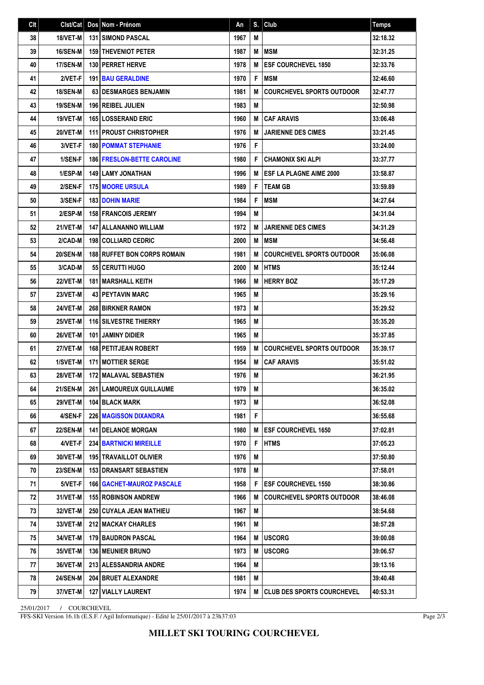| Clt | Cist/Cat        | Dos Nom - Prénom                   | An   | S. | $ $ Club                          | <b>Temps</b> |
|-----|-----------------|------------------------------------|------|----|-----------------------------------|--------------|
| 38  | 18/VET-M        | <b>131 SIMOND PASCAL</b>           | 1967 | M  |                                   | 32:18.32     |
| 39  | <b>16/SEN-M</b> | <b>159 THEVENIOT PETER</b>         | 1987 | M  | <b>IMSM</b>                       | 32:31.25     |
| 40  | 17/SEN-M        | 130 PERRET HERVE                   | 1978 | M  | <b>ESF COURCHEVEL 1850</b>        | 32:33.76     |
| 41  | 2/VET-F         | <b>191 BAU GERALDINE</b>           | 1970 | F  | <b>MSM</b>                        | 32:46.60     |
| 42  | <b>18/SEN-M</b> | 63 DESMARGES BENJAMIN              | 1981 | M  | <b>COURCHEVEL SPORTS OUTDOOR</b>  | 32:47.77     |
| 43  | <b>19/SEN-M</b> | <b>196 REIBEL JULIEN</b>           | 1983 | M  |                                   | 32:50.98     |
| 44  | 19/VET-M        | <b>165 LOSSERAND ERIC</b>          | 1960 | M  | <b>CAF ARAVIS</b>                 | 33:06.48     |
| 45  | 20/VET-M        | <b>111   PROUST CHRISTOPHER</b>    | 1976 | М  | <b>JARIENNE DES CIMES</b>         | 33:21.45     |
| 46  | 3/VET-F         | <b>180 POMMAT STEPHANIE</b>        | 1976 | F  |                                   | 33:24.00     |
| 47  | 1/SEN-F         | <b>186 FRESLON-BETTE CAROLINE</b>  | 1980 | F  | <b>CHAMONIX SKI ALPI</b>          | 33:37.77     |
| 48  | 1/ESP-M         | <b>149   LAMY JONATHAN</b>         | 1996 | М  | <b>IESF LA PLAGNE AIME 2000</b>   | 33:58.87     |
| 49  | 2/SEN-F         | <b>175 MOORE URSULA</b>            | 1989 | F  | <b>TEAM GB</b>                    | 33:59.89     |
| 50  | 3/SEN-F         | <b>183 DOHIN MARIE</b>             | 1984 | F  | <b>MSM</b>                        | 34:27.64     |
| 51  | 2/ESP-M         | <b>158 FRANCOIS JEREMY</b>         | 1994 | M  |                                   | 34:31.04     |
| 52  | 21/VET-M        | <b>147   ALLANANNO WILLIAM</b>     | 1972 | М  | <b>JARIENNE DES CIMES</b>         | 34:31.29     |
| 53  | 2/CAD-M         | <b>198 COLLIARD CEDRIC</b>         | 2000 | M  | <b>MSM</b>                        | 34:56.48     |
| 54  | <b>20/SEN-M</b> | <b>188 RUFFET BON CORPS ROMAIN</b> | 1981 | М  | <b>COURCHEVEL SPORTS OUTDOOR</b>  | 35:06.08     |
| 55  | 3/CAD-M         | 55 CERUTTI HUGO                    | 2000 | M  | <b>HTMS</b>                       | 35:12.44     |
| 56  | 22/VET-M        | <b>181   MARSHALL KEITH</b>        | 1966 | M  | <b>HERRY BOZ</b>                  | 35:17.29     |
| 57  | 23/VET-M        | <b>43   PEYTAVIN MARC</b>          | 1965 | M  |                                   | 35:29.16     |
| 58  | 24/VET-M        | <b>268 BIRKNER RAMON</b>           | 1973 | M  |                                   | 35:29.52     |
| 59  | 25/VET-M        | <b>116 SILVESTRE THIERRY</b>       | 1965 | M  |                                   | 35:35.20     |
| 60  | 26/VET-M        | <b>101 JAMINY DIDIER</b>           | 1965 | M  |                                   | 35:37.85     |
| 61  | 27/VET-M        | <b>168 PETITJEAN ROBERT</b>        | 1959 | М  | <b>COURCHEVEL SPORTS OUTDOOR</b>  | 35:39.17     |
| 62  | 1/SVET-M        | <b>171 MOTTIER SERGE</b>           | 1954 | M  | <b>CAF ARAVIS</b>                 | 35:51.02     |
| 63  | 28/VET-M        | <b>172 MALAVAL SEBASTIEN</b>       | 1976 | M  |                                   | 36:21.95     |
| 64  | <b>21/SEN-M</b> | 261 LAMOUREUX GUILLAUME            | 1979 | М  |                                   | 36:35.02     |
| 65  | <b>29/VET-M</b> | 104 BLACK MARK                     | 1973 | М  |                                   | 36:52.08     |
| 66  | 4/SEN-F         | <b>226 MAGISSON DIXANDRA</b>       | 1981 | F  |                                   | 36:55.68     |
| 67  | <b>22/SEN-M</b> | <b>141   DELANOE MORGAN</b>        | 1980 | M  | <b>ESF COURCHEVEL 1650</b>        | 37:02.81     |
| 68  | 4/VET-F         | <b>234 BARTNICKI MIREILLE</b>      | 1970 | F  | <b>HTMS</b>                       | 37:05.23     |
| 69  | 30/VET-M        | <b>195 TRAVAILLOT OLIVIER</b>      | 1976 | Μ  |                                   | 37:50.80     |
| 70  | <b>23/SEN-M</b> | <b>153 DRANSART SEBASTIEN</b>      | 1978 | М  |                                   | 37:58.01     |
| 71  | 5/VET-F         | <b>166   GACHET-MAUROZ PASCALE</b> | 1958 | F  | <b>ESF COURCHEVEL 1550</b>        | 38:30.86     |
| 72  | 31/VET-M        | <b>155 ROBINSON ANDREW</b>         | 1966 | M  | <b>COURCHEVEL SPORTS OUTDOOR</b>  | 38:46.08     |
| 73  | 32/VET-M        | <b>250 CUYALA JEAN MATHIEU</b>     | 1967 | M  |                                   | 38:54.68     |
| 74  | 33/VET-M        | 212 MACKAY CHARLES                 | 1961 | М  |                                   | 38:57.28     |
| 75  | 34/VET-M        | <b>179 BAUDRON PASCAL</b>          | 1964 | М  | <b>USCORG</b>                     | 39:00.08     |
| 76  | 35/VET-M        | <b>136   MEUNIER BRUNO</b>         | 1973 | M  | <b>USCORG</b>                     | 39:06.57     |
| 77  | 36/VET-M        | 213 ALESSANDRIA ANDRE              | 1964 | M  |                                   | 39:13.16     |
| 78  | <b>24/SEN-M</b> | <b>204 BRUET ALEXANDRE</b>         | 1981 | M  |                                   | 39:40.48     |
| 79  | 37/VET-M        | <b>127 VIALLY LAURENT</b>          | 1974 | M  | <b>CLUB DES SPORTS COURCHEVEL</b> | 40:53.31     |

25/01/2017 / COURCHEVEL

FFS-SKI Version 16.1h (E.S.F. / Agil Informatique) - Edité le 25/01/2017 à 23h37:03

Page 2/3